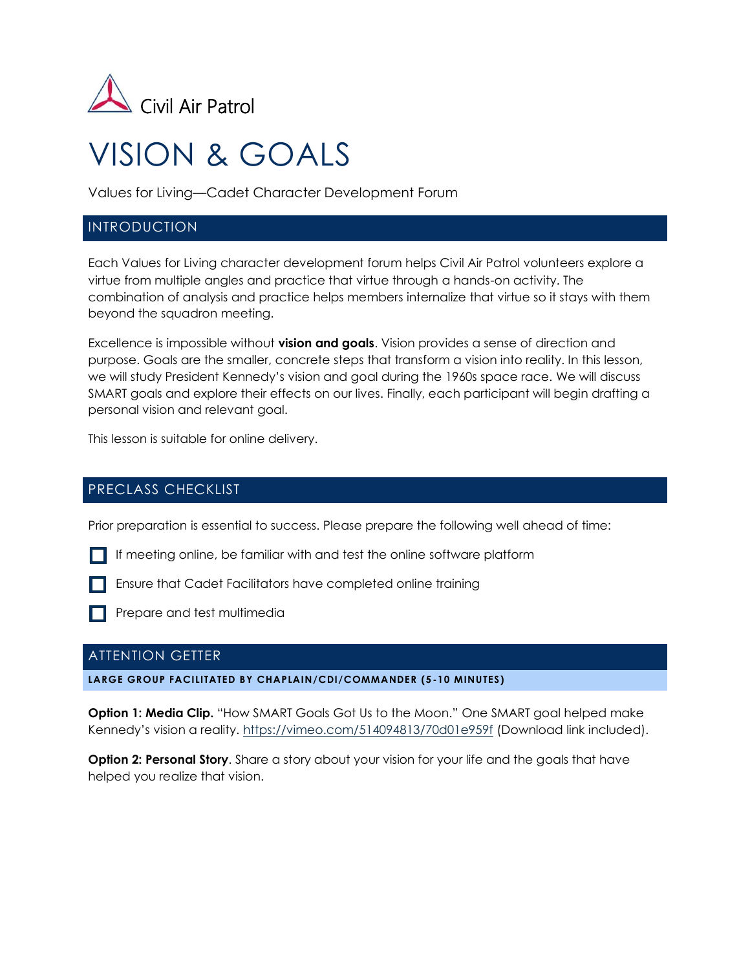

# VISION & GOALS

Values for Living—Cadet Character Development Forum

## INTRODUCTION

Each Values for Living character development forum helps Civil Air Patrol volunteers explore a virtue from multiple angles and practice that virtue through a hands-on activity. The combination of analysis and practice helps members internalize that virtue so it stays with them beyond the squadron meeting.

Excellence is impossible without **vision and goals**. Vision provides a sense of direction and purpose. Goals are the smaller, concrete steps that transform a vision into reality. In this lesson, we will study President Kennedy's vision and goal during the 1960s space race. We will discuss SMART goals and explore their effects on our lives. Finally, each participant will begin drafting a personal vision and relevant goal.

This lesson is suitable for online delivery.

## PRECLASS CHECKLIST

Prior preparation is essential to success. Please prepare the following well ahead of time:

- If meeting online, be familiar with and test the online software platform
- **Ensure that Cadet Facilitators have completed online training**
- **Prepare and test multimedia**

## ATTENTION GETTER

**LARGE GROUP FACILITATED BY CHAPLAIN/CDI/COMMANDER (5 -10 MINUTES)**

**Option 1: Media Clip.** "How SMART Goals Got Us to the Moon." One SMART goal helped make Kennedy's vision a reality. <https://vimeo.com/514094813/70d01e959f> (Download link included).

**Option 2: Personal Story.** Share a story about your vision for your life and the goals that have helped you realize that vision.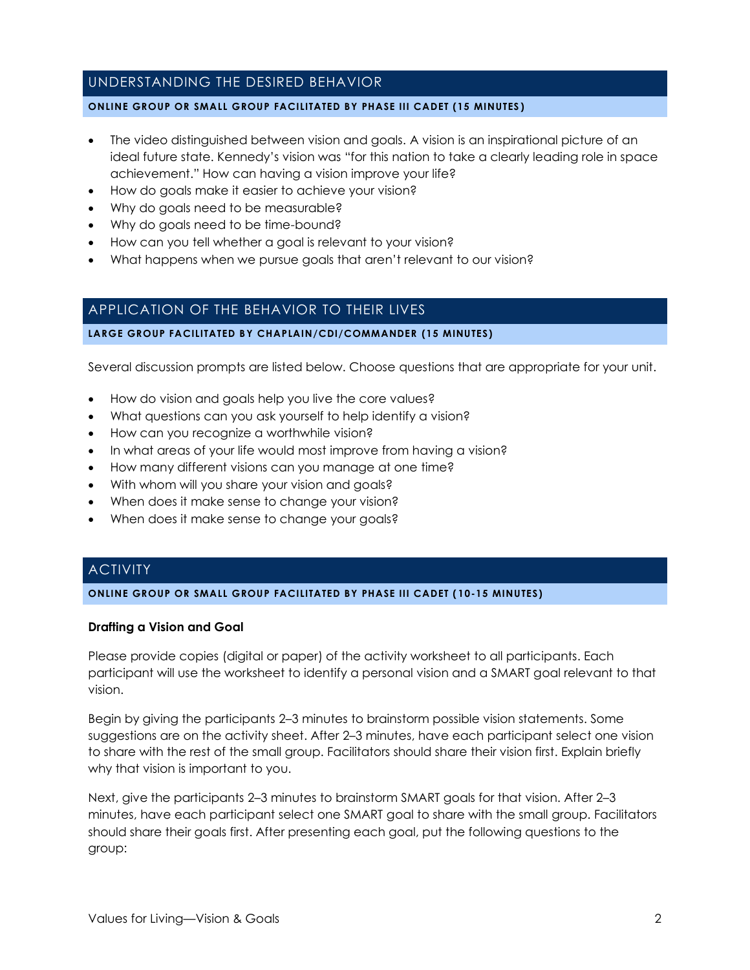## UNDERSTANDING THE DESIRED BEHAVIOR

#### **ONLINE GROUP OR SMALL GROUP FACILITATED BY PHASE III CADET (15 MINUTES )**

- The video distinguished between vision and goals. A vision is an inspirational picture of an ideal future state. Kennedy's vision was "for this nation to take a clearly leading role in space achievement." How can having a vision improve your life?
- How do goals make it easier to achieve your vision?
- Why do goals need to be measurable?
- Why do goals need to be time-bound?
- How can you tell whether a goal is relevant to your vision?
- What happens when we pursue goals that aren't relevant to our vision?

## APPLICATION OF THE BEHAVIOR TO THEIR LIVES

#### **LARGE GROUP FACILITATED BY CHAPLAIN/CDI/COMMANDER (15 MINUTES)**

Several discussion prompts are listed below. Choose questions that are appropriate for your unit.

- How do vision and goals help you live the core values?
- What questions can you ask yourself to help identify a vision?
- How can you recognize a worthwhile vision?
- In what areas of your life would most improve from having a vision?
- How many different visions can you manage at one time?
- With whom will you share your vision and goals?
- When does it make sense to change your vision?
- When does it make sense to change your goals?

# **ACTIVITY**

#### **ONLINE GROUP OR SMALL GROUP FACILITATED BY PHASE III CADET ( 10-15 MINUTES)**

#### **Drafting a Vision and Goal**

Please provide copies (digital or paper) of the activity worksheet to all participants. Each participant will use the worksheet to identify a personal vision and a SMART goal relevant to that vision.

Begin by giving the participants 2–3 minutes to brainstorm possible vision statements. Some suggestions are on the activity sheet. After 2–3 minutes, have each participant select one vision to share with the rest of the small group. Facilitators should share their vision first. Explain briefly why that vision is important to you.

Next, give the participants 2–3 minutes to brainstorm SMART goals for that vision. After 2–3 minutes, have each participant select one SMART goal to share with the small group. Facilitators should share their goals first. After presenting each goal, put the following questions to the group: